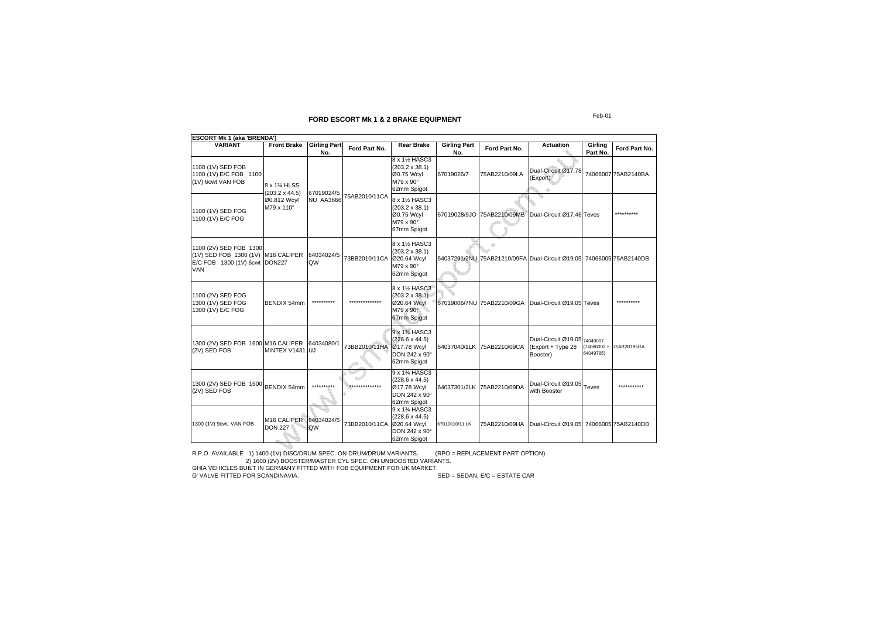| <b>ESCORT Mk 1 (aka 'BRENDA')</b>                                                                           |                                           |                            |                |                                                                                                                 |                                                                                 |                            |                                                                     |                                 |               |                     |
|-------------------------------------------------------------------------------------------------------------|-------------------------------------------|----------------------------|----------------|-----------------------------------------------------------------------------------------------------------------|---------------------------------------------------------------------------------|----------------------------|---------------------------------------------------------------------|---------------------------------|---------------|---------------------|
| <b>VARIANT</b>                                                                                              | <b>Front Brake</b>                        | <b>Girling Part</b><br>No. | Ford Part No.  | <b>Rear Brake</b>                                                                                               | <b>Girling Part</b><br>No.                                                      | Ford Part No.              | <b>Actuation</b>                                                    | Girling<br>Part No.             | Ford Part No. |                     |
| 1100 (1V) SED FOB<br>1100 (1V) E/C FOB 1100<br>(1V) 6cwt VAN FOB                                            | 8 x 1% HLSS<br>$(203.2 \times 44.5)$      |                            | 67019024/5     |                                                                                                                 | 8 x 1½ HASC3<br>$(203.2 \times 38.1)$<br>00.75 Wcyl<br>M79 x 90°<br>62mm Spigot | 67019026/7                 | 75AB2210/09LA                                                       | Dual-Circuit Ø17.78<br>(Export) |               | 74066007 75AB2140BA |
| 1100 (1V) SED FOG<br>1100 (1V) E/C FOG                                                                      | Ø0.812 Wcyl<br>M79 x 110°                 | NU AA3666                  | 75AB2010/11CA  | 8 x 11/2 HASC3<br>$(203.2 \times 38.1)$<br>Ø0.75 Wcyl<br>M79 x 90°<br>67mm Spigot                               |                                                                                 | 67019028/9JO 75AB2210/09MB | Dual-Circuit Ø17.46 Teves                                           |                                 |               |                     |
| 1100 (2V) SED FOB 1300<br>(1V) SED FOB 1300 (1V) M16 CALIPER<br>E/C FOB 1300 (1V) 6cwt DON227<br><b>VAN</b> |                                           | 64034024/5<br>QW           | 73BB2010/11CA  | 8 x 1½ HASC3<br>$(203.2 \times 38.1)$<br>Ø20.64 Wcyl<br>M79 x 90°<br>62mm Spigot                                |                                                                                 | 4                          | 64037291/2NU 75AB21210/09FA Dual-Circuit Ø19.05 74066005 75AB2140DB |                                 |               |                     |
| 1100 (2V) SED FOG<br>1300 (1V) SED FOG<br>1300 (1V) E/C FOG                                                 | BENDIX 54mm                               | **********                 | ************** | 8 x 11/2 HASC3<br>$(203.2 \times 38.1)$<br>Ø20.64 Wcyl<br>M79 x 90°<br>67mm Spigot                              |                                                                                 |                            | 67019006/7NU 75AB2210/09GA Dual-Circuit Ø19.05 Teves                |                                 | .             |                     |
| 1300 (2V) SED FOB 1600 M16 CALIPER<br>(2V) SED FOB                                                          | MINTEX V1431 UJ                           | 64034080/1                 | 73BB2010/11HA  | 9 x 13/4 HASC3<br>$(228.6 \times 44.5)$<br>Ø17.78 Wcyl<br>DON 242 x 90°<br>62mm Spigot                          |                                                                                 | 64037040/1LK 75AB2210/09CA | Dual-Circuit Ø19.05 74049007<br>(Export + Type 28<br>Booster)       | $(74066002 +$<br>64049785)      | 75AB2B195GA   |                     |
| 1300 (2V) SED FOB 1600<br>(2V) SED FOB                                                                      | <b>BENDIX 54mm</b>                        | **********                 | ************** | 9 x 1 <sup>3</sup> / <sub>4</sub> HASC3<br>$(228.6 \times 44.5)$<br>Ø17.78 Wcyl<br>DON 242 x 90°<br>62mm Spigot |                                                                                 | 64037301/2LK 75AB2210/09DA | Dual-Circuit Ø19.05 Teves<br>with Booster                           |                                 |               |                     |
| 1300 (1V) 9cwt. VAN FOB                                                                                     | M <sub>16</sub> CALIPER<br><b>DON 227</b> | 64034024/5<br>QW           | 73BB2010/11CA  | 9 x 1 <sup>3</sup> / <sub>4</sub> HASC3<br>$(228.6 \times 44.5)$<br>Ø20.64 Wcyl<br>DON 242 x 90°<br>62mm Spigot | 67019010/11 LK                                                                  | 75AB2210/09HA              | Dual-Circuit Ø19.05 74066005 75AB2140DB                             |                                 |               |                     |

R.P.O. AVAILABLE 1) 1400 (1V) DISC/DRUM SPEC. ON DRUM/DRUM VARIANTS. (RPO = REPLACEMENT PART OPTION) 2) 1600 (2V) BOOSTER/MASTER CYL SPEC. ON UNBOOSTED VARIANTS. GHIA VEHICLES BUILT IN GERMANY FITTED WITH FOB EQUIPMENT FOR UK MARKET.

G' VALVE FITTED FOR SCANDINAVIA. SED = SEDAN, E/C = ESTATE CAR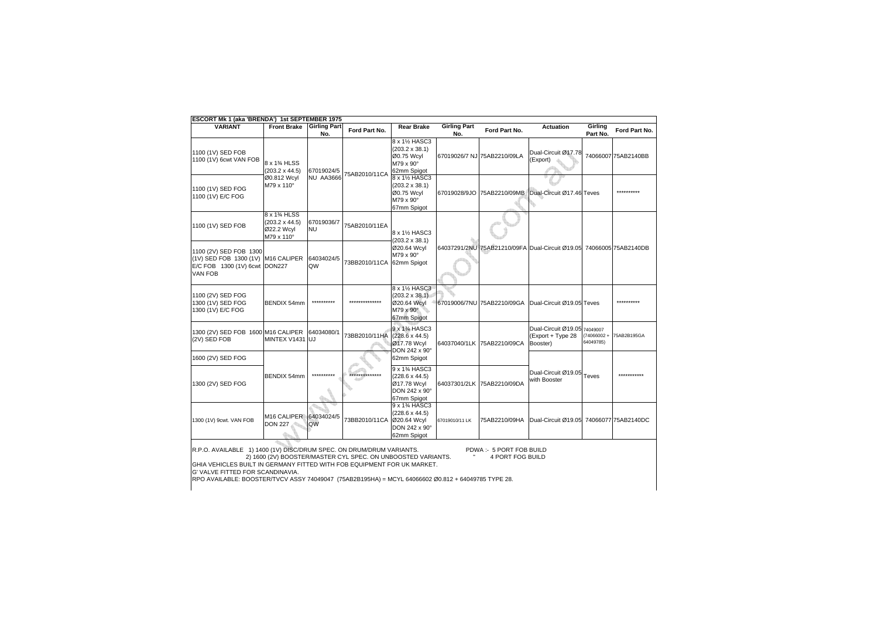| <b>ESCORT Mk 1 (aka 'BRENDA') 1st SEPTEMBER 1975</b>                                                            |                                                                                                                                                                                                                                                               |                            |                |                                                                                                                 |                            |                             |                                                                     |                         |                     |  |
|-----------------------------------------------------------------------------------------------------------------|---------------------------------------------------------------------------------------------------------------------------------------------------------------------------------------------------------------------------------------------------------------|----------------------------|----------------|-----------------------------------------------------------------------------------------------------------------|----------------------------|-----------------------------|---------------------------------------------------------------------|-------------------------|---------------------|--|
| <b>VARIANT</b>                                                                                                  | <b>Front Brake</b>                                                                                                                                                                                                                                            | <b>Girling Part</b><br>No. | Ford Part No.  | <b>Rear Brake</b>                                                                                               | <b>Girling Part</b><br>No. | Ford Part No.               | <b>Actuation</b>                                                    | Girling<br>Part No.     | Ford Part No.       |  |
| 1100 (1V) SED FOB<br>1100 (1V) 6cwt VAN FOB                                                                     | 8 x 1% HLSS<br>$(203.2 \times 44.5)$                                                                                                                                                                                                                          | 67019024/5                 | 75AB2010/11CA  | 8 x 1½ HASC3<br>$(203.2 \times 38.1)$<br>Ø0.75 Wcyl<br>M79 x 90°<br>62mm Spigot                                 |                            | 67019026/7 NJ 75AB2210/09LA | Dual-Circuit Ø17.78<br>(Export)                                     |                         | 74066007 75AB2140BB |  |
| 1100 (1V) SED FOG<br>1100 (1V) E/C FOG                                                                          | Ø0.812 Wcyl<br>M79 x 110°                                                                                                                                                                                                                                     | NU AA3666                  |                | 8 x 11/2 HASC3<br>(203.2 x 38.1)<br>Ø0.75 Wcyl<br>M79 x 90°<br>67mm Spigot                                      |                            | 67019028/9JO 75AB2210/09MB  | Dual-Circuit Ø17.46 Teves                                           |                         | **********          |  |
| 1100 (1V) SED FOB                                                                                               | 8 x 1% HLSS<br>$(203.2 \times 44.5)$<br>Ø22.2 Wcyl<br>M79 x 110°                                                                                                                                                                                              | 67019036/7<br><b>NU</b>    | 75AB2010/11EA  | 8 x 1½ HASC3<br>$(203.2 \times 38.1)$                                                                           |                            |                             |                                                                     |                         |                     |  |
| 1100 (2V) SED FOB 1300<br>(1V) SED FOB 1300 (1V) M16 CALIPER<br>E/C FOB 1300 (1V) 6cwt DON227<br><b>VAN FOB</b> |                                                                                                                                                                                                                                                               | 64034024/5<br>QW           | 73BB2010/11CA  | Ø20.64 Wcyl<br>M79 x 90°<br>62mm Spigot                                                                         |                            |                             | 64037291/2NU 75AB21210/09FA Dual-Circuit Ø19.05 74066005 75AB2140DB |                         |                     |  |
| 1100 (2V) SED FOG<br>1300 (1V) SED FOG<br>1300 (1V) E/C FOG                                                     | BENDIX 54mm                                                                                                                                                                                                                                                   | **********                 | ************** | 8 x 11/2 HASC3<br>$(203.2 \times 38.1)$<br>Ø20.64 Wcyl<br>M79 x 90°<br>67mm Spigot                              |                            | 67019006/7NU 75AB2210/09GA  | Dual-Circuit Ø19.05 Teves                                           |                         | ***********         |  |
| 1300 (2V) SED FOB 1600 M16 CALIPER<br>(2V) SED FOB                                                              | MINTEX V1431 UJ                                                                                                                                                                                                                                               | 64034080/1                 | 73BB2010/11HA  | 9 x 1 <sup>3</sup> / <sub>4</sub> HASC3<br>$(228.6 \times 44.5)$<br>Ø17.78 Wcyl<br>DON 242 x 90°                |                            | 64037040/1LK 75AB2210/09CA  | Dual-Circuit Ø19.05 74049007<br>(Export + Type 28<br>Booster)       | (74066002+<br>64049785) | 75AB2B195GA         |  |
| 1600 (2V) SED FOG                                                                                               |                                                                                                                                                                                                                                                               |                            |                | 62mm Spigot                                                                                                     |                            |                             |                                                                     |                         |                     |  |
| 1300 (2V) SED FOG                                                                                               | BENDIX 54mm                                                                                                                                                                                                                                                   |                            | ************** | 9 x 1 <sup>3</sup> / <sub>4</sub> HASC3<br>$(228.6 \times 44.5)$<br>Ø17.78 Wcyl<br>DON 242 x 90°<br>67mm Spigot |                            | 64037301/2LK 75AB2210/09DA  | Dual-Circuit Ø19.05 Teves<br>with Booster                           |                         | ***********         |  |
| 1300 (1V) 9cwt. VAN FOB                                                                                         | M16 CALIPER 64034024/5<br><b>DON 227</b>                                                                                                                                                                                                                      | <b>QW</b>                  | 73BB2010/11CA  | 9 x 1 <sup>3</sup> / <sub>4</sub> HASC3<br>$(228.6 \times 44.5)$<br>Ø20.64 Wcyl<br>DON 242 x 90°<br>62mm Spigot | 67019010/11 LK             | 75AB2210/09HA               | Dual-Circuit Ø19.05 74066077 75AB2140DC                             |                         |                     |  |
|                                                                                                                 | R.P.O. AVAILABLE 1) 1400 (1V) DISC/DRUM SPEC. ON DRUM/DRUM VARIANTS.<br>PDWA: 5 PORT FOB BUILD<br>2) 1600 (2V) BOOSTER/MASTER CYL SPEC. ON UNBOOSTED VARIANTS.<br>4 PORT FOG BUILD<br>GHIA VEHICLES BUILT IN GERMANY FITTED WITH FOB EQUIPMENT FOR UK MARKET. |                            |                |                                                                                                                 |                            |                             |                                                                     |                         |                     |  |

G' VALVE FITTED FOR SCANDINAVIA.

RPO AVAILABLE: BOOSTER/TVCV ASSY 74049047 (75AB2B195HA) = MCYL 64066602 Ø0.812 + 64049785 TYPE 28.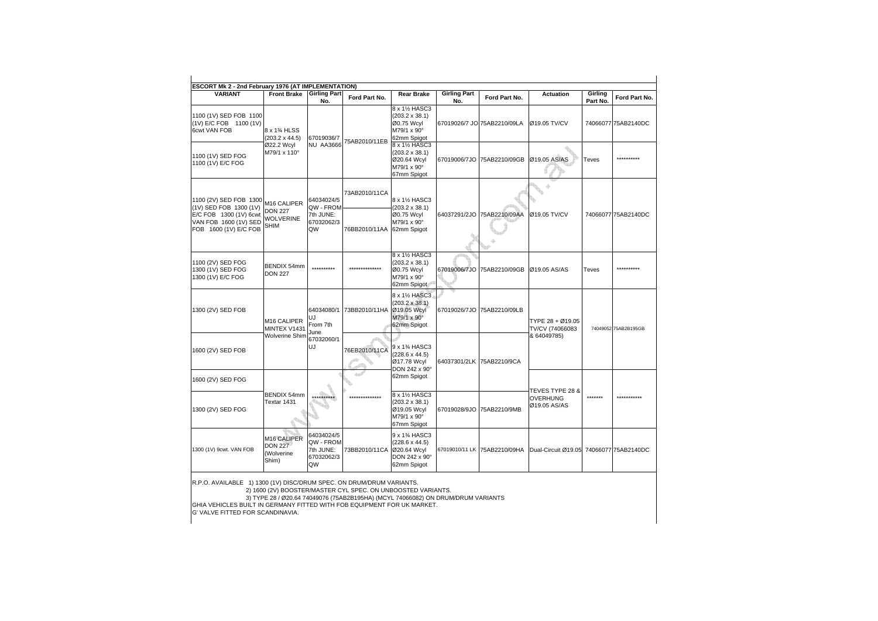| <b>VARIANT</b>                                                           | <b>Front Brake</b>                                               | <b>Girling Part</b><br>No.                               | Ford Part No.               | <b>Rear Brake</b>                                                                   | <b>Girling Part</b><br>No. | Ford Part No.                | <b>Actuation</b>                                   | Girling<br>Part No. | Ford Part No.        |
|--------------------------------------------------------------------------|------------------------------------------------------------------|----------------------------------------------------------|-----------------------------|-------------------------------------------------------------------------------------|----------------------------|------------------------------|----------------------------------------------------|---------------------|----------------------|
| 1100 (1V) SED FOB 1100<br>(1V) E/C FOB 1100 (1V)<br>6cwt VAN FOB         | 8 x 1% HLSS<br>$(203.2 \times 44.5)$                             | 67019036/7                                               | 75AB2010/11EB               | 8 x 11/2 HASC3<br>$(203.2 \times 38.1)$<br>Ø0.75 Wcyl<br>M79/1 x 90°<br>62mm Spigot |                            | 67019026/7 JO 75AB2210/09LA  | Ø19.05 TV/CV                                       |                     | 74066077 75AB2140DC  |
| 1100 (1V) SED FOG<br>1100 (1V) E/C FOG                                   | Ø22.2 Wcyl<br>M79/1 x 110°                                       | <b>NU AA3666</b>                                         |                             | 8 x 11/2 HASC3<br>(203.2 x 38.1)<br>Ø20.64 Wcyl<br>M79/1 x 90°<br>67mm Spigot       |                            | 67019006/7JO 75AB2210/09GB   | Ø19.05 AS/AS                                       | Teves               | **********           |
| 1100 (2V) SED FOB 1300<br>(1V) SED FOB 1300 (1V)                         | M16 CALIPER                                                      | 64034024/5<br>QW - FROM                                  | 73AB2010/11CA               | 8 x 11/2 HASC3<br>$(203.2 \times 38.1)$                                             |                            |                              |                                                    |                     |                      |
| E/C FOB 1300 (1V) 6cwt<br>VAN FOB 1600 (1V) SED<br>FOB 1600 (1V) E/C FOB | <b>DON 227</b><br><b>WOLVERINE</b><br><b>SHIM</b>                | 7th JUNE:<br>67032062/3<br>QW                            | 76BB2010/11AA               | Ø0.75 Wcyl<br>M79/1 x 90°<br>62mm Spigot                                            |                            | 64037291/2JO 75AB2210/09AA   | Ø19.05 TV/CV                                       |                     | 74066077 75AB2140DC  |
| 1100 (2V) SED FOG<br>1300 (1V) SED FOG<br>1300 (1V) E/C FOG              | BENDIX 54mm<br><b>DON 227</b>                                    | **********                                               | **************              | 8 x 11/2 HASC3<br>$(203.2 \times 38.1)$<br>Ø0.75 Wcyl<br>M79/1 x 90°<br>62mm Spigot |                            | 67019006/7JO 75AB2210/09GB   | Ø19.05 AS/AS                                       | Teves               | **********           |
| 1300 (2V) SED FOB                                                        | M <sub>16</sub> CALIPER<br>MINTEX V1431                          | 64034080/1<br>UJ<br>From 7th                             | 73BB2010/11HA               | 8 x 1½ HASC3<br>$(203.2 \times 38.1)$<br>Ø19.05 Wcyl<br>M79/1 x 90°<br>62mm Spigot  |                            | 67019026/7JO 75AB2210/09LB   | TYPE 28 + Ø19.05<br>TV/CV (74066083                |                     | 74049052 75AB2B195GB |
| 1600 (2V) SED FOB                                                        | Wolverine Shim                                                   | June<br>67032060/1<br>UJ                                 | 76EB2010/11CA               | 9 x 1% HASC3<br>$(228.6 \times 44.5)$<br>Ø17.78 Wcyl<br>DON 242 x 90°               |                            | 64037301/2LK 75AB2210/9CA    | & 64049785)                                        |                     |                      |
| 1600 (2V) SED FOG                                                        |                                                                  |                                                          |                             | 62mm Spigot                                                                         |                            |                              |                                                    |                     |                      |
| 1300 (2V) SED FOG                                                        | BENDIX 54mm<br>Textar 1431                                       | **********                                               | *************               | 8 x 1½ HASC3<br>$(203.2 \times 38.1)$<br>Ø19.05 Wcyl<br>M79/1 x 90°<br>67mm Spigot  |                            | 67019028/9JO 75AB2210/9MB    | TEVES TYPE 28 &<br><b>OVERHUNG</b><br>Ø19.05 AS/AS | *******             | ***********          |
| 1300 (1V) 9cwt. VAN FOB                                                  | M <sub>16</sub> CALIPER<br><b>DON 227</b><br>(Wolverine<br>Shim) | 64034024/5<br>QW - FROM<br>7th JUNE:<br>67032062/3<br>QW | 73BB2010/11CA   Ø20.64 Wcyl | 9 x 1% HASC3<br>$(228.6 \times 44.5)$<br>DON 242 x 90°<br>62mm Spigot               |                            | 67019010/11 LK 75AB2210/09HA | Dual-Circuit Ø19.05 74066077 75AB2140DC            |                     |                      |

GHIA VEHICLES BUILT IN GERMANY FITTED WITH FOB EQUIPMENT FOR UK MARKET.

G' VALVE FITTED FOR SCANDINAVIA.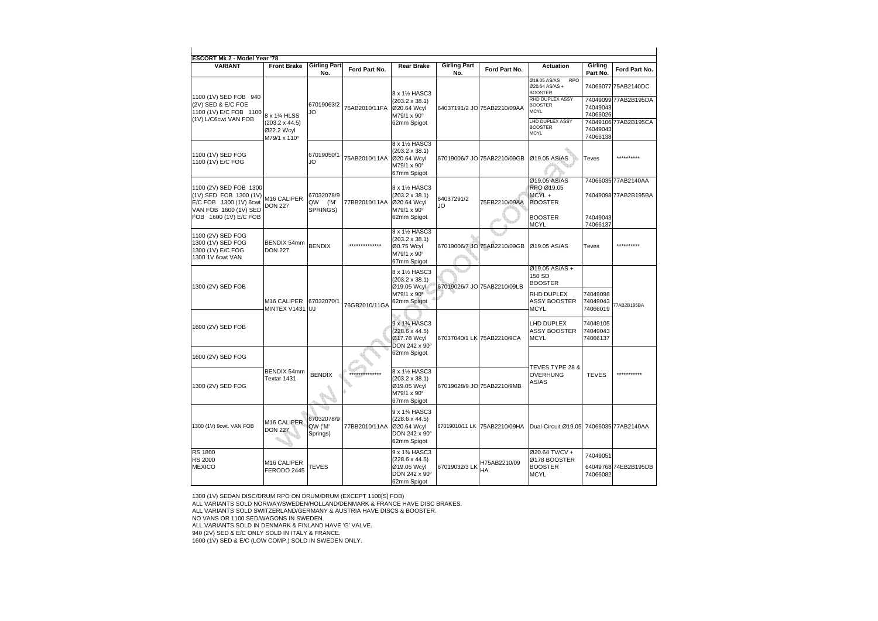| <b>ESCORT Mk 2 - Model Year '78</b>                                                                 |                                                     |                                   |                |                                                                                                                 |                            |                              |                                                                 |                                  |                                             |
|-----------------------------------------------------------------------------------------------------|-----------------------------------------------------|-----------------------------------|----------------|-----------------------------------------------------------------------------------------------------------------|----------------------------|------------------------------|-----------------------------------------------------------------|----------------------------------|---------------------------------------------|
| <b>VARIANT</b>                                                                                      | <b>Front Brake</b>                                  | <b>Girling Part</b><br>No.        | Ford Part No.  | <b>Rear Brake</b>                                                                                               | <b>Girling Part</b><br>No. | Ford Part No.                | <b>Actuation</b>                                                | Girling<br>Part No.              | Ford Part No.                               |
| 1100 (1V) SED FOB 940                                                                               |                                                     |                                   |                | 8 x 1½ HASC3                                                                                                    |                            |                              | Ø19.05 AS/AS<br><b>RPO</b><br>Ø20.64 AS/AS +<br><b>BOOSTER</b>  |                                  | 74066077 75AB2140DC                         |
| (2V) SED & E/C FOE<br>1100 (1V) E/C FOB 1100                                                        | 8 x 1% HLSS                                         | 67019063/2<br>JO                  | 75AB2010/11FA  | $(203.2 \times 38.1)$<br>Ø20.64 Wcyl<br>M79/1 x 90°                                                             |                            | 64037191/2 JO 75AB2210/09AA  | RHD DUPLEX ASSY<br><b>BOOSTER</b><br><b>MCYL</b>                | 74049043<br>74066026             | 74049099 77AB2B195DA                        |
| (1V) L/C6cwt VAN FOB                                                                                | $(203.2 \times 44.5)$<br>Ø22.2 Wcyl<br>M79/1 x 110° |                                   |                | 62mm Spigot                                                                                                     |                            |                              | LHD DUPLEX ASSY<br><b>BOOSTER</b><br><b>MCYL</b>                | 74049043<br>74066138             | 74049106 77AB2B195CA                        |
| 1100 (1V) SED FOG<br>1100 (1V) E/C FOG                                                              |                                                     | 67019050/1<br>JO                  | 75AB2010/11AA  | 8 x 11/2 HASC3<br>$(203.2 \times 38.1)$<br>Ø20.64 Wcyl<br>M79/1 x 90°<br>67mm Spigot                            |                            | 67019006/7 JO 75AB2210/09GB  | Ø19.05 AS/AS                                                    | Teves                            | **********                                  |
| 1100 (2V) SED FOB 1300<br>(1V) SED FOB 1300 (1V)<br>E/C FOB 1300 (1V) 6cwt<br>VAN FOB 1600 (1V) SED | M16 CALIPER<br><b>DON 227</b>                       | 67032078/9<br>QW ('M'<br>SPRINGS) | 77BB2010/11AA  | 8 x 1½ HASC3<br>$(203.2 \times 38.1)$<br>Ø20.64 Wcyl<br>M79/1 x 90°                                             | 64037291/2<br>JO           | 75EB2210/09AA                | Ø19.05 AS/AS<br>RPO Ø19.05<br>MCYL+<br><b>BOOSTER</b>           |                                  | 74066035 77AB2140AA<br>74049098 77AB2B195BA |
| FOB 1600 (1V) E/C FOB                                                                               |                                                     |                                   |                | 62mm Spigot                                                                                                     |                            |                              | <b>BOOSTER</b><br><b>MCYL</b>                                   | 74049043<br>74066137             |                                             |
| 1100 (2V) SED FOG<br>1300 (1V) SED FOG<br>1300 (1V) E/C FOG<br>1300 1V 6cwt VAN                     | BENDIX 54mm<br><b>DON 227</b>                       | <b>BENDIX</b>                     | ************** | 8 x 11/2 HASC3<br>$(203.2 \times 38.1)$<br>Ø0.75 Wcyl<br>M79/1 x 90°<br>67mm Spigot                             |                            | 67019006/7 JO 75AB2210/09GB  | Ø19.05 AS/AS                                                    | Teves                            | .                                           |
| 1300 (2V) SED FOB                                                                                   |                                                     |                                   |                | 8 x 1½ HASC3<br>$(203.2 \times 38.1)$<br>Ø19.05 Wcyl                                                            |                            | 67019026/7 JO 75AB2210/09LB  | Ø19.05 AS/AS +<br>150 SD<br><b>BOOSTER</b>                      |                                  |                                             |
|                                                                                                     | M <sub>16</sub> CALIPER<br>MINTEX V1431 UJ          | 67032070/1                        | 76GB2010/11GA  | M79/1 x 90°<br>62mm Spigot                                                                                      |                            |                              | <b>RHD DUPLEX</b><br><b>ASSY BOOSTER</b><br>MCYL                | 74049098<br>74049043<br>74066019 | 77AB2B195BA                                 |
| 1600 (2V) SED FOB                                                                                   |                                                     |                                   |                | 9 x 13/4 HASC3<br>$(228.6 \times 44.5)$<br>Ø17.78 Wcyl<br>DON 242 x 90°                                         |                            | 67037040/1 LK 75AB2210/9CA   | <b>LHD DUPLEX</b><br><b>ASSY BOOSTER</b><br><b>MCYL</b>         | 74049105<br>74049043<br>74066137 |                                             |
| 1600 (2V) SED FOG                                                                                   |                                                     |                                   |                | 62mm Spigot                                                                                                     |                            |                              |                                                                 |                                  |                                             |
| 1300 (2V) SED FOG                                                                                   | BENDIX 54mm<br>Textar 1431                          | <b>BENDIX</b>                     |                | 8 x 11/2 HASC3<br>$(203.2 \times 38.1)$<br>Ø19.05 Wcyl<br>M79/1 x 90°<br>67mm Spigot                            |                            | 67019028/9 JO 75AB2210/9MB   | TEVES TYPE 28 &<br><b>OVERHUNG</b><br>AS/AS                     | <b>TEVES</b>                     |                                             |
| 1300 (1V) 9cwt. VAN FOB                                                                             | M16 CALIPER<br><b>DON 227</b>                       | 67032078/9<br>QW ('M'<br>Springs) | 77BB2010/11AA  | 9 x 1 <sup>3</sup> / <sub>4</sub> HASC3<br>$(228.6 \times 44.5)$<br>Ø20.64 Wcyl<br>DON 242 x 90°<br>62mm Spigot |                            | 67019010/11 LK 75AB2210/09HA | Dual-Circuit Ø19.05 74066035 77AB2140AA                         |                                  |                                             |
| <b>RS 1800</b><br><b>RS 2000</b><br><b>MEXICO</b>                                                   | M16 CALIPER<br>FERODO 2445                          | <b>TEVES</b>                      |                | 9 x 1 <sup>3</sup> / <sub>4</sub> HASC3<br>$(228.6 \times 44.5)$<br>Ø19.05 Wcyl<br>DON 242 x 90°<br>62mm Spigot | 67019032/3 LK              | H75AB2210/09<br>HA           | Ø20.64 TV/CV +<br>Ø178 BOOSTER<br><b>BOOSTER</b><br><b>MCYL</b> | 74049051<br>74066082             | 64049768 74EB2B195DB                        |

1300 (1V) SEDAN DISC/DRUM RPO ON DRUM/DRUM (EXCEPT 1100[S] FOB)

ALL VARIANTS SOLD NORWAY/SWEDEN/HOLLAND/DENMARK & FRANCE HAVE DISC BRAKES.

ALL VARIANTS SOLD SWITZERLAND/GERMANY & AUSTRIA HAVE DISCS & BOOSTER.

NO VANS OR 1100 SED/WAGONS IN SWEDEN.

ALL VARIANTS SOLD IN DENMARK & FINLAND HAVE 'G' VALVE.

940 (2V) SED & E/C ONLY SOLD IN ITALY & FRANCE.

1600 (1V) SED & E/C (LOW COMP.) SOLD IN SWEDEN ONLY.